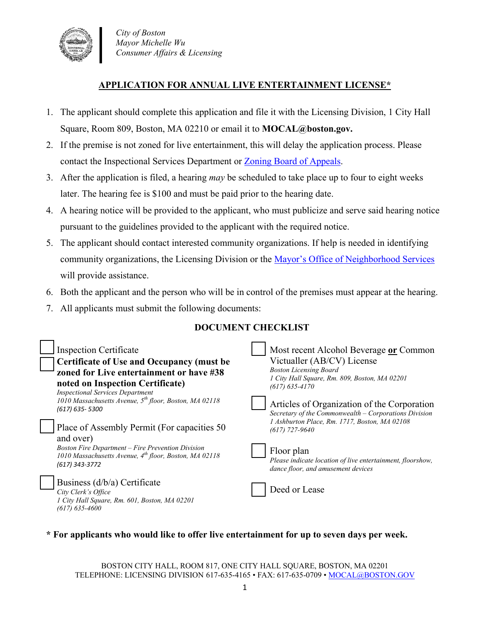

## **APPLICATION FOR ANNUAL LIVE ENTERTAINMENT LICENSE\***

- 1. The applicant should complete this application and file it with the Licensing Division, 1 City Hall Square, Room 809, Boston, MA 02210 or email it to **MOCAL@boston.gov.**
- 2. If the premise is not zoned for live entertainment, this will delay the application process. Please contact the Inspectional Services Department or [Zoning Board of Appeals.](https://www.boston.gov/departments/inspectional-services/zoning-board-appeal)
- 3. After the application is filed, a hearing *may* be scheduled to take place up to four to eight weeks later. The hearing fee is \$100 and must be paid prior to the hearing date.
- 4. A hearing notice will be provided to the applicant, who must publicize and serve said hearing notice pursuant to the guidelines provided to the applicant with the required notice.
- 5. The applicant should contact interested community organizations. If help is needed in identifying community organizations, the Licensing Division or the [Mayor's Office of Neighborhood Services](https://www.boston.gov/departments/neighborhood-services) will provide assistance.
- 6. Both the applicant and the person who will be in control of the premises must appear at the hearing.
- 7. All applicants must submit the following documents:

## **DOCUMENT CHECKLIST**

| <b>Inspection Certificate</b><br><b>Certificate of Use and Occupancy (must be</b><br>zoned for Live entertainment or have #38<br>noted on Inspection Certificate)<br><b>Inspectional Services Department</b><br>1010 Massachusetts Avenue, 5 <sup>th</sup> floor, Boston, MA 02118<br>(617) 635-5300<br>Place of Assembly Permit (For capacities 50)<br>and over)<br><b>Boston Fire Department – Fire Prevention Division</b><br>1010 Massachusetts Avenue, $4^{th}$ floor, Boston, MA 02118<br>(617) 343-3772 |  | Most recent Alcohol Beverage or Common<br>Victualler (AB/CV) License<br><b>Boston Licensing Board</b><br>1 City Hall Square, Rm. 809, Boston, MA 02201<br>$(617)$ 635-4170<br>Articles of Organization of the Corporation<br>Secretary of the Commonwealth – Corporations Division<br>1 Ashburton Place, Rm. 1717, Boston, MA 02108<br>$(617)$ 727-9640<br>Floor plan<br>Please indicate location of live entertainment, floorshow,<br>dance floor, and amusement devices |
|----------------------------------------------------------------------------------------------------------------------------------------------------------------------------------------------------------------------------------------------------------------------------------------------------------------------------------------------------------------------------------------------------------------------------------------------------------------------------------------------------------------|--|---------------------------------------------------------------------------------------------------------------------------------------------------------------------------------------------------------------------------------------------------------------------------------------------------------------------------------------------------------------------------------------------------------------------------------------------------------------------------|
| Business (d/b/a) Certificate<br>City Clerk's Office<br>1 City Hall Square, Rm. 601, Boston, MA 02201<br>$(617)$ 635-4600                                                                                                                                                                                                                                                                                                                                                                                       |  | Deed or Lease                                                                                                                                                                                                                                                                                                                                                                                                                                                             |

**\* For applicants who would like to offer live entertainment for up to seven days per week.**

BOSTON CITY HALL, ROOM 817, ONE CITY HALL SQUARE, BOSTON, MA 02201 TELEPHONE: LICENSING DIVISION 617-635-4165 • FAX: 617-635-0709 • [MOCAL@BOSTON.GOV](mailto:MOCAL@BOSTON.GOV)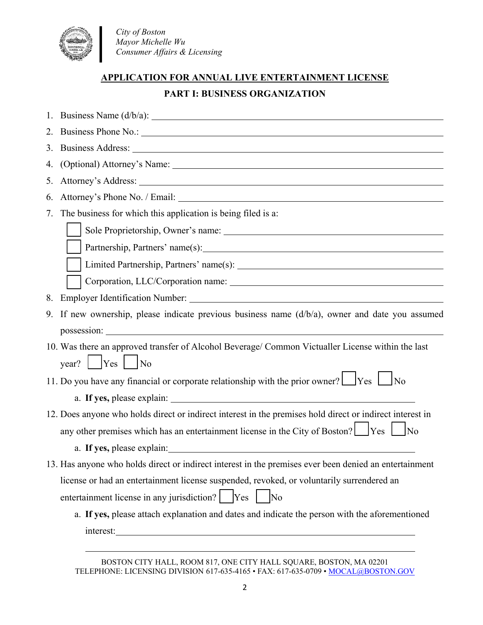

 *City of Boston Mayor Michelle Wu Consumer Affairs & Licensing*

## **APPLICATION FOR ANNUAL LIVE ENTERTAINMENT LICENSE**

# **PART I: BUSINESS ORGANIZATION**

|    | 1. Business Name $(d/b/a)$ : $\qquad \qquad$                                                                                                                                                                                   |  |
|----|--------------------------------------------------------------------------------------------------------------------------------------------------------------------------------------------------------------------------------|--|
|    | 2. Business Phone No.: 1. 2008. The Manual Contract of the Manual Contract of the Manual Contract of the Manual Contract of the Manual Contract of the Manual Contract of the Manual Contract of the Manual Contract of the Ma |  |
|    |                                                                                                                                                                                                                                |  |
| 4. |                                                                                                                                                                                                                                |  |
| 5. |                                                                                                                                                                                                                                |  |
| 6. | Attorney's Phone No. / Email: 1988. The Second State of the Second State of the Second State of the Second State of the Second State of the Second State of the Second State of the Second State of the Second State of the Se |  |
| 7. | The business for which this application is being filed is a:                                                                                                                                                                   |  |
|    |                                                                                                                                                                                                                                |  |
|    |                                                                                                                                                                                                                                |  |
|    |                                                                                                                                                                                                                                |  |
|    |                                                                                                                                                                                                                                |  |
| 8. |                                                                                                                                                                                                                                |  |
|    | 9. If new ownership, please indicate previous business name $(d/b/a)$ , owner and date you assumed                                                                                                                             |  |
|    |                                                                                                                                                                                                                                |  |
|    | 10. Was there an approved transfer of Alcohol Beverage/ Common Victualler License within the last                                                                                                                              |  |
|    | year? $\begin{array}{ c c c c c } \hline \text{Year?} & \text{Yes} & \text{No} \\\hline \end{array}$                                                                                                                           |  |
|    | 11. Do you have any financial or corporate relationship with the prior owner? $\Box$ Yes $\Box$ No                                                                                                                             |  |
|    |                                                                                                                                                                                                                                |  |
|    | 12. Does anyone who holds direct or indirect interest in the premises hold direct or indirect interest in                                                                                                                      |  |
|    | any other premises which has an entertainment license in the City of Boston? Figures Section                                                                                                                                   |  |
|    | a. If yes, please explain:                                                                                                                                                                                                     |  |
|    | 13. Has anyone who holds direct or indirect interest in the premises ever been denied an entertainment                                                                                                                         |  |
|    | license or had an entertainment license suspended, revoked, or voluntarily surrendered an                                                                                                                                      |  |
|    |                                                                                                                                                                                                                                |  |
|    | a. If yes, please attach explanation and dates and indicate the person with the aforementioned                                                                                                                                 |  |
|    | interest:                                                                                                                                                                                                                      |  |
|    |                                                                                                                                                                                                                                |  |

BOSTON CITY HALL, ROOM 817, ONE CITY HALL SQUARE, BOSTON, MA 02201 TELEPHONE: LICENSING DIVISION 617-635-4165 • FAX: 617-635-0709 • [MOCAL@BOSTON.GOV](mailto:MOCAL@BOSTON.GOV)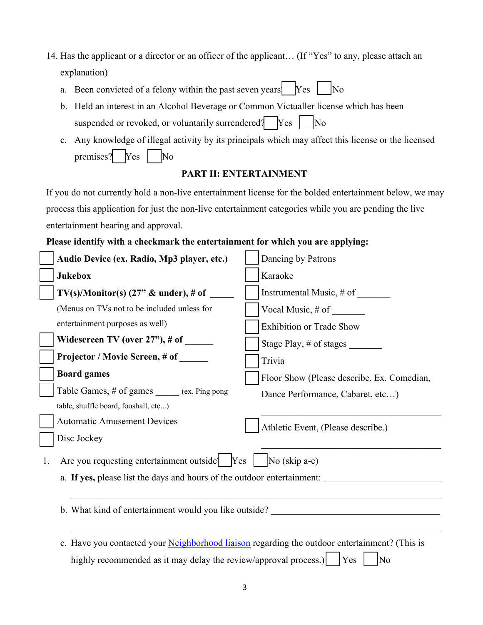- 14. Has the applicant or a director or an officer of the applicant… (If "Yes" to any, please attach an explanation)
	- a. Been convicted of a felony within the past seven years? Yes No
	- b. Held an interest in an Alcohol Beverage or Common Victualler license which has been suspended or revoked, or voluntarily surrendered?  $Yes$   $\vert$  No
	- c. Any knowledge of illegal activity by its principals which may affect this license or the licensed premises?  $Yes$  No

### **PART II: ENTERTAINMENT**

If you do not currently hold a non-live entertainment license for the bolded entertainment below, we may process this application for just the non-live entertainment categories while you are pending the live entertainment hearing and approval.

### **Please identify with a checkmark the entertainment for which you are applying:**

|    | Audio Device (ex. Radio, Mp3 player, etc.)                                                                            | Dancing by Patrons                                                               |
|----|-----------------------------------------------------------------------------------------------------------------------|----------------------------------------------------------------------------------|
|    | <b>Jukebox</b>                                                                                                        | Karaoke                                                                          |
|    | $TV(s)/\text{Monitor}(s)$ (27" & under), # of                                                                         | Instrumental Music, # of                                                         |
|    | (Menus on TVs not to be included unless for                                                                           | Vocal Music, $\#$ of $\_\_\_\_\_\_\_\_\_\_\_\$                                   |
|    | entertainment purposes as well)                                                                                       | <b>Exhibition or Trade Show</b>                                                  |
|    | Widescreen TV (over $27$ "), # of $\_\_$                                                                              | Stage Play, # of stages                                                          |
|    | Projector / Movie Screen, # of ______                                                                                 | Trivia                                                                           |
|    | <b>Board games</b>                                                                                                    | Floor Show (Please describe. Ex. Comedian,                                       |
|    | Table Games, # of games (ex. Ping pong                                                                                | Dance Performance, Cabaret, etc)                                                 |
|    | table, shuffle board, foosball, etc)                                                                                  |                                                                                  |
|    | <b>Automatic Amusement Devices</b>                                                                                    | Athletic Event, (Please describe.)                                               |
|    | Disc Jockey                                                                                                           |                                                                                  |
| 1. | Are you requesting entertainment outside $\begin{vmatrix} \n\text{Yes} & \text{No}(\text{skip a-c}) \\ \end{vmatrix}$ |                                                                                  |
|    |                                                                                                                       | a. If yes, please list the days and hours of the outdoor entertainment:          |
|    |                                                                                                                       |                                                                                  |
|    |                                                                                                                       | b. What kind of entertainment would you like outside? __________________________ |
|    |                                                                                                                       |                                                                                  |
|    | c. Have you contacted your Neighborhood liaison regarding the outdoor entertainment? (This is                         |                                                                                  |
|    | highly recommended as it may delay the review/approval process.)                                                      | Yes<br>No                                                                        |